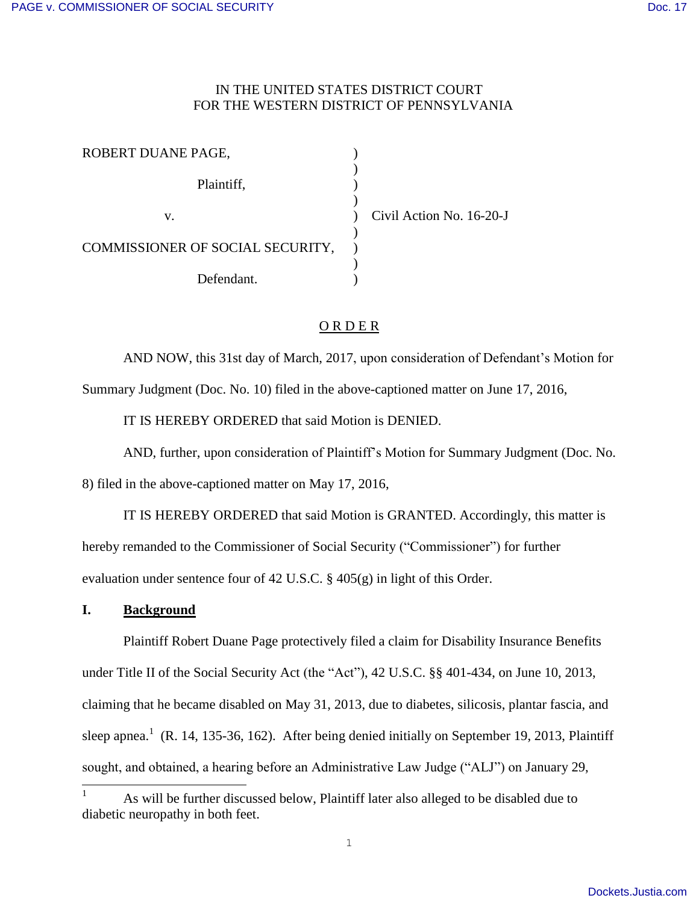## IN THE UNITED STATES DISTRICT COURT FOR THE WESTERN DISTRICT OF PENNSYLVANIA

| ROBERT DUANE PAGE,               |                          |
|----------------------------------|--------------------------|
| Plaintiff,                       |                          |
| v.                               | Civil Action No. 16-20-J |
| COMMISSIONER OF SOCIAL SECURITY, |                          |
| Defendant                        |                          |

# O R D E R

AND NOW, this 31st day of March, 2017, upon consideration of Defendant's Motion for Summary Judgment (Doc. No. 10) filed in the above-captioned matter on June 17, 2016,

IT IS HEREBY ORDERED that said Motion is DENIED.

AND, further, upon consideration of Plaintiff's Motion for Summary Judgment (Doc. No.

8) filed in the above-captioned matter on May 17, 2016,

 IT IS HEREBY ORDERED that said Motion is GRANTED. Accordingly, this matter is hereby remanded to the Commissioner of Social Security ("Commissioner") for further evaluation under sentence four of 42 U.S.C. § 405(g) in light of this Order.

## **I. Background**

 $\overline{a}$ 

 Plaintiff Robert Duane Page protectively filed a claim for Disability Insurance Benefits under Title II of the Social Security Act (the "Act"), 42 U.S.C. §§ 401-434, on June 10, 2013, claiming that he became disabled on May 31, 2013, due to diabetes, silicosis, plantar fascia, and sleep apnea.<sup>1</sup> (R. 14, 135-36, 162). After being denied initially on September 19, 2013, Plaintiff sought, and obtained, a hearing before an Administrative Law Judge ("ALJ") on January 29,

<sup>1</sup> As will be further discussed below, Plaintiff later also alleged to be disabled due to diabetic neuropathy in both feet.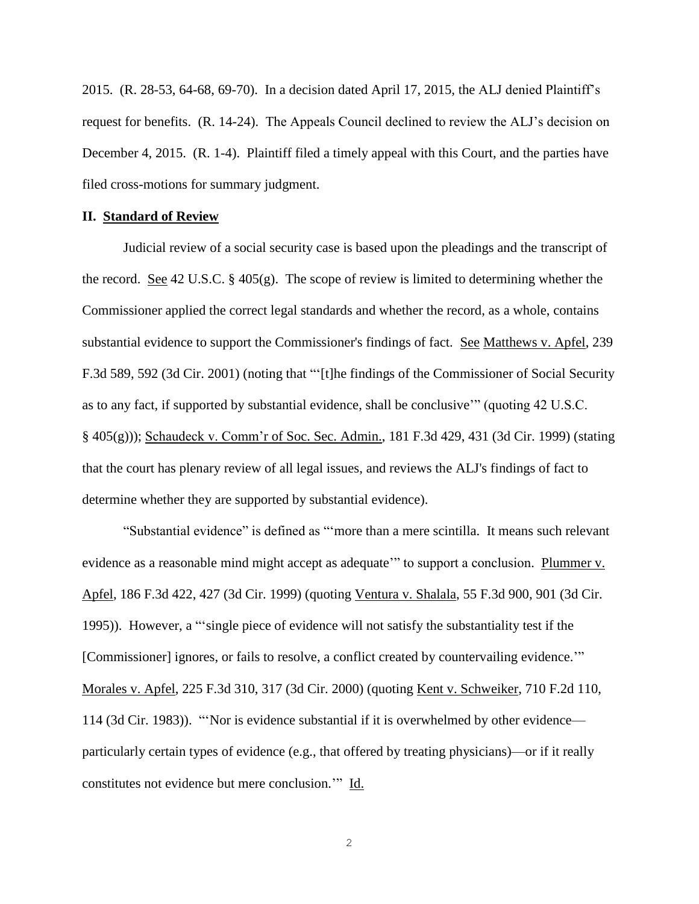2015. (R. 28-53, 64-68, 69-70). In a decision dated April 17, 2015, the ALJ denied Plaintiff's request for benefits. (R. 14-24). The Appeals Council declined to review the ALJ's decision on December 4, 2015. (R. 1-4). Plaintiff filed a timely appeal with this Court, and the parties have filed cross-motions for summary judgment.

#### **II. Standard of Review**

Judicial review of a social security case is based upon the pleadings and the transcript of the record. See 42 U.S.C. § 405(g). The scope of review is limited to determining whether the Commissioner applied the correct legal standards and whether the record, as a whole, contains substantial evidence to support the Commissioner's findings of fact. See Matthews v. Apfel, 239 F.3d 589, 592 (3d Cir. 2001) (noting that "'[t]he findings of the Commissioner of Social Security as to any fact, if supported by substantial evidence, shall be conclusive'" (quoting 42 U.S.C. § 405(g))); Schaudeck v. Comm'r of Soc. Sec. Admin., 181 F.3d 429, 431 (3d Cir. 1999) (stating that the court has plenary review of all legal issues, and reviews the ALJ's findings of fact to determine whether they are supported by substantial evidence).

"Substantial evidence" is defined as "'more than a mere scintilla. It means such relevant evidence as a reasonable mind might accept as adequate'" to support a conclusion. Plummer v. Apfel, 186 F.3d 422, 427 (3d Cir. 1999) (quoting Ventura v. Shalala, 55 F.3d 900, 901 (3d Cir. 1995)). However, a "'single piece of evidence will not satisfy the substantiality test if the [Commissioner] ignores, or fails to resolve, a conflict created by countervailing evidence." Morales v. Apfel, 225 F.3d 310, 317 (3d Cir. 2000) (quoting Kent v. Schweiker, 710 F.2d 110, 114 (3d Cir. 1983)). "'Nor is evidence substantial if it is overwhelmed by other evidence particularly certain types of evidence (e.g., that offered by treating physicians)—or if it really constitutes not evidence but mere conclusion.'" Id.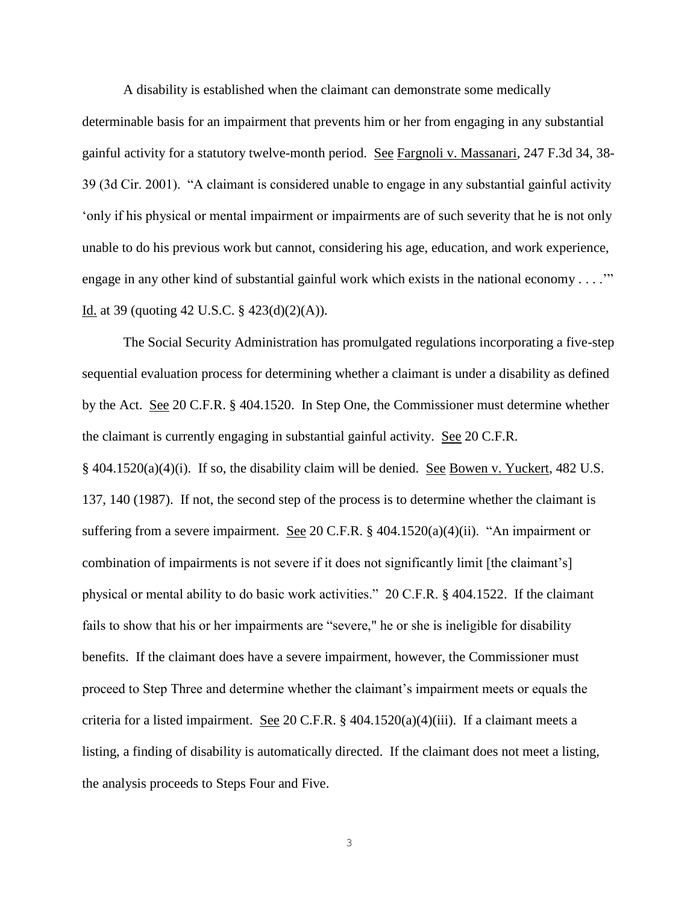A disability is established when the claimant can demonstrate some medically

determinable basis for an impairment that prevents him or her from engaging in any substantial gainful activity for a statutory twelve-month period. See Fargnoli v. Massanari, 247 F.3d 34, 38- 39 (3d Cir. 2001). "A claimant is considered unable to engage in any substantial gainful activity 'only if his physical or mental impairment or impairments are of such severity that he is not only unable to do his previous work but cannot, considering his age, education, and work experience, engage in any other kind of substantial gainful work which exists in the national economy . . . ." Id. at 39 (quoting 42 U.S.C.  $\S$  423(d)(2)(A)).

The Social Security Administration has promulgated regulations incorporating a five-step sequential evaluation process for determining whether a claimant is under a disability as defined by the Act. See 20 C.F.R. § 404.1520. In Step One, the Commissioner must determine whether the claimant is currently engaging in substantial gainful activity. See 20 C.F.R. § 404.1520(a)(4)(i). If so, the disability claim will be denied. See Bowen v. Yuckert, 482 U.S. 137, 140 (1987). If not, the second step of the process is to determine whether the claimant is suffering from a severe impairment. See 20 C.F.R. § 404.1520(a)(4)(ii). "An impairment or combination of impairments is not severe if it does not significantly limit [the claimant's] physical or mental ability to do basic work activities." 20 C.F.R. § 404.1522. If the claimant fails to show that his or her impairments are "severe," he or she is ineligible for disability benefits. If the claimant does have a severe impairment, however, the Commissioner must proceed to Step Three and determine whether the claimant's impairment meets or equals the criteria for a listed impairment. See 20 C.F.R.  $\S$  404.1520(a)(4)(iii). If a claimant meets a listing, a finding of disability is automatically directed. If the claimant does not meet a listing, the analysis proceeds to Steps Four and Five.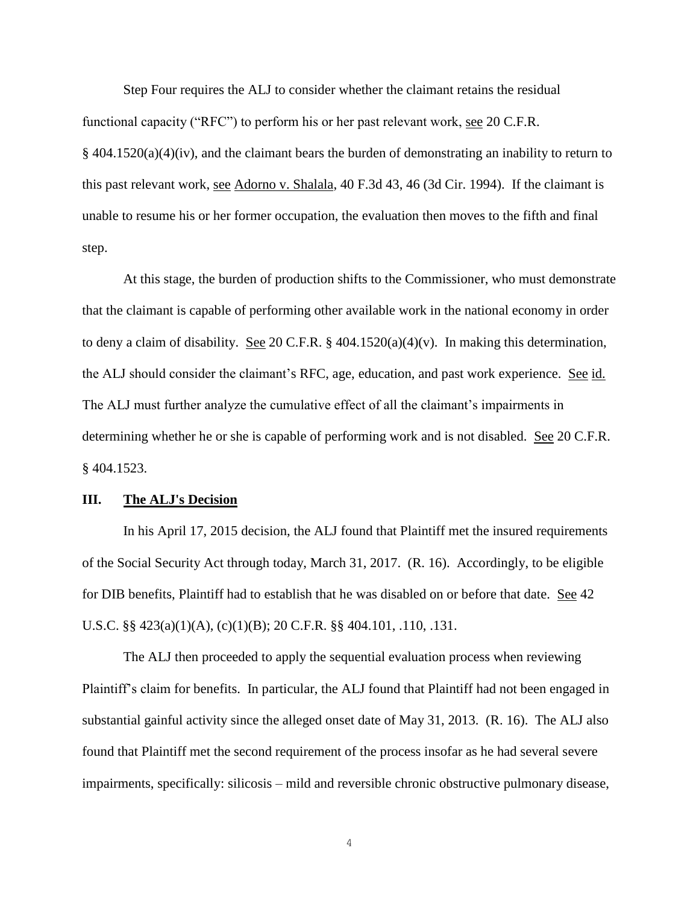Step Four requires the ALJ to consider whether the claimant retains the residual functional capacity ("RFC") to perform his or her past relevant work, see 20 C.F.R.  $§$  404.1520(a)(4)(iv), and the claimant bears the burden of demonstrating an inability to return to this past relevant work, see Adorno v. Shalala, 40 F.3d 43, 46 (3d Cir. 1994). If the claimant is unable to resume his or her former occupation, the evaluation then moves to the fifth and final step.

 At this stage, the burden of production shifts to the Commissioner, who must demonstrate that the claimant is capable of performing other available work in the national economy in order to deny a claim of disability. See 20 C.F.R. § 404.1520(a)(4)(v). In making this determination, the ALJ should consider the claimant's RFC, age, education, and past work experience. See id. The ALJ must further analyze the cumulative effect of all the claimant's impairments in determining whether he or she is capable of performing work and is not disabled. See 20 C.F.R. § 404.1523.

### **III. The ALJ's Decision**

 In his April 17, 2015 decision, the ALJ found that Plaintiff met the insured requirements of the Social Security Act through today, March 31, 2017. (R. 16). Accordingly, to be eligible for DIB benefits, Plaintiff had to establish that he was disabled on or before that date. See 42 U.S.C. §§ 423(a)(1)(A), (c)(1)(B); 20 C.F.R. §§ 404.101, .110, .131.

 The ALJ then proceeded to apply the sequential evaluation process when reviewing Plaintiff's claim for benefits. In particular, the ALJ found that Plaintiff had not been engaged in substantial gainful activity since the alleged onset date of May 31, 2013. (R. 16). The ALJ also found that Plaintiff met the second requirement of the process insofar as he had several severe impairments, specifically: silicosis – mild and reversible chronic obstructive pulmonary disease,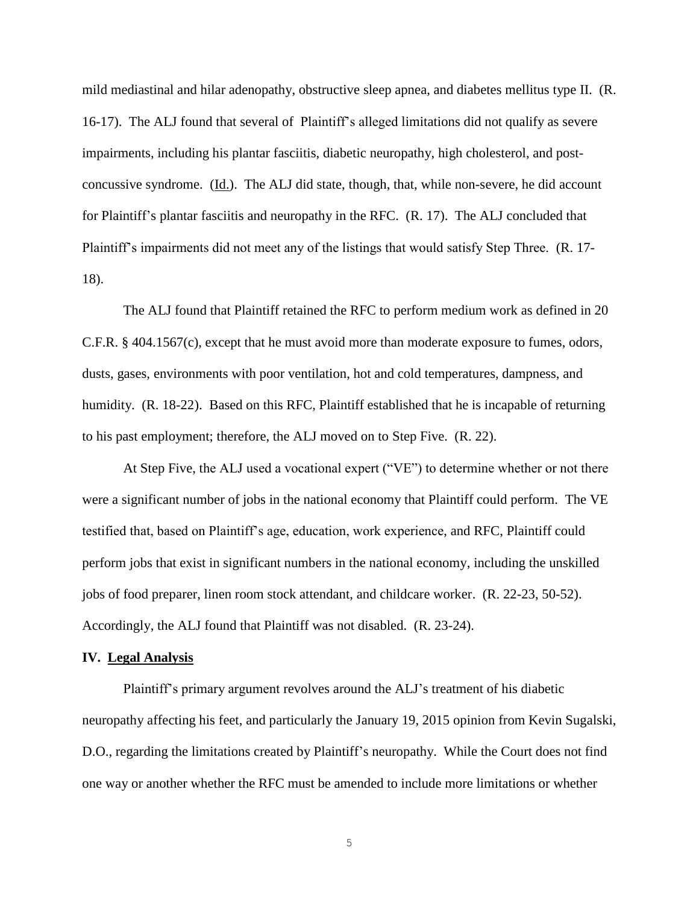mild mediastinal and hilar adenopathy, obstructive sleep apnea, and diabetes mellitus type II. (R. 16-17). The ALJ found that several of Plaintiff's alleged limitations did not qualify as severe impairments, including his plantar fasciitis, diabetic neuropathy, high cholesterol, and postconcussive syndrome. (Id.). The ALJ did state, though, that, while non-severe, he did account for Plaintiff's plantar fasciitis and neuropathy in the RFC. (R. 17). The ALJ concluded that Plaintiff's impairments did not meet any of the listings that would satisfy Step Three. (R. 17- 18).

 The ALJ found that Plaintiff retained the RFC to perform medium work as defined in 20 C.F.R. § 404.1567(c), except that he must avoid more than moderate exposure to fumes, odors, dusts, gases, environments with poor ventilation, hot and cold temperatures, dampness, and humidity. (R. 18-22). Based on this RFC, Plaintiff established that he is incapable of returning to his past employment; therefore, the ALJ moved on to Step Five. (R. 22).

At Step Five, the ALJ used a vocational expert ("VE") to determine whether or not there were a significant number of jobs in the national economy that Plaintiff could perform. The VE testified that, based on Plaintiff's age, education, work experience, and RFC, Plaintiff could perform jobs that exist in significant numbers in the national economy, including the unskilled jobs of food preparer, linen room stock attendant, and childcare worker. (R. 22-23, 50-52). Accordingly, the ALJ found that Plaintiff was not disabled. (R. 23-24).

#### **IV. Legal Analysis**

Plaintiff's primary argument revolves around the ALJ's treatment of his diabetic neuropathy affecting his feet, and particularly the January 19, 2015 opinion from Kevin Sugalski, D.O., regarding the limitations created by Plaintiff's neuropathy. While the Court does not find one way or another whether the RFC must be amended to include more limitations or whether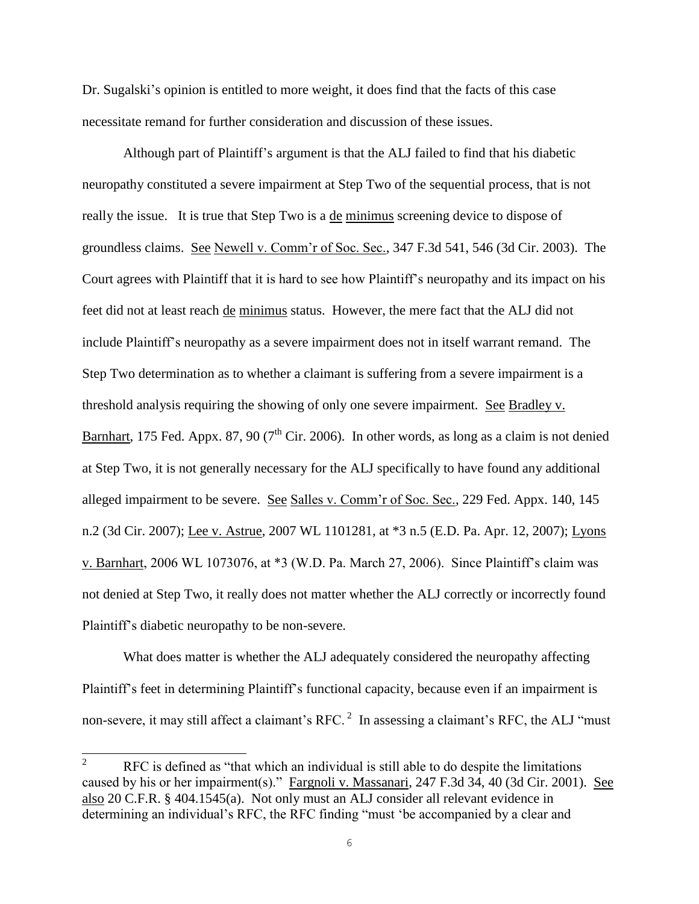Dr. Sugalski's opinion is entitled to more weight, it does find that the facts of this case necessitate remand for further consideration and discussion of these issues.

 Although part of Plaintiff's argument is that the ALJ failed to find that his diabetic neuropathy constituted a severe impairment at Step Two of the sequential process, that is not really the issue. It is true that Step Two is a de minimus screening device to dispose of groundless claims. See Newell v. Comm'r of Soc. Sec., 347 F.3d 541, 546 (3d Cir. 2003). The Court agrees with Plaintiff that it is hard to see how Plaintiff's neuropathy and its impact on his feet did not at least reach de minimus status. However, the mere fact that the ALJ did not include Plaintiff's neuropathy as a severe impairment does not in itself warrant remand. The Step Two determination as to whether a claimant is suffering from a severe impairment is a threshold analysis requiring the showing of only one severe impairment. See Bradley v. Barnhart, 175 Fed. Appx. 87, 90 ( $7<sup>th</sup>$  Cir. 2006). In other words, as long as a claim is not denied at Step Two, it is not generally necessary for the ALJ specifically to have found any additional alleged impairment to be severe. See Salles v. Comm'r of Soc. Sec., 229 Fed. Appx. 140, 145 n.2 (3d Cir. 2007); Lee v. Astrue, 2007 WL 1101281, at \*3 n.5 (E.D. Pa. Apr. 12, 2007); Lyons v. Barnhart, 2006 WL 1073076, at \*3 (W.D. Pa. March 27, 2006). Since Plaintiff's claim was not denied at Step Two, it really does not matter whether the ALJ correctly or incorrectly found Plaintiff's diabetic neuropathy to be non-severe.

 What does matter is whether the ALJ adequately considered the neuropathy affecting Plaintiff's feet in determining Plaintiff's functional capacity, because even if an impairment is non-severe, it may still affect a claimant's RFC.<sup>2</sup> In assessing a claimant's RFC, the ALJ "must"

<sup>&</sup>lt;sup>2</sup> RFC is defined as "that which an individual is still able to do despite the limitations caused by his or her impairment(s)." Fargnoli v. Massanari, 247 F.3d 34, 40 (3d Cir. 2001). See also 20 C.F.R. § 404.1545(a). Not only must an ALJ consider all relevant evidence in determining an individual's RFC, the RFC finding "must 'be accompanied by a clear and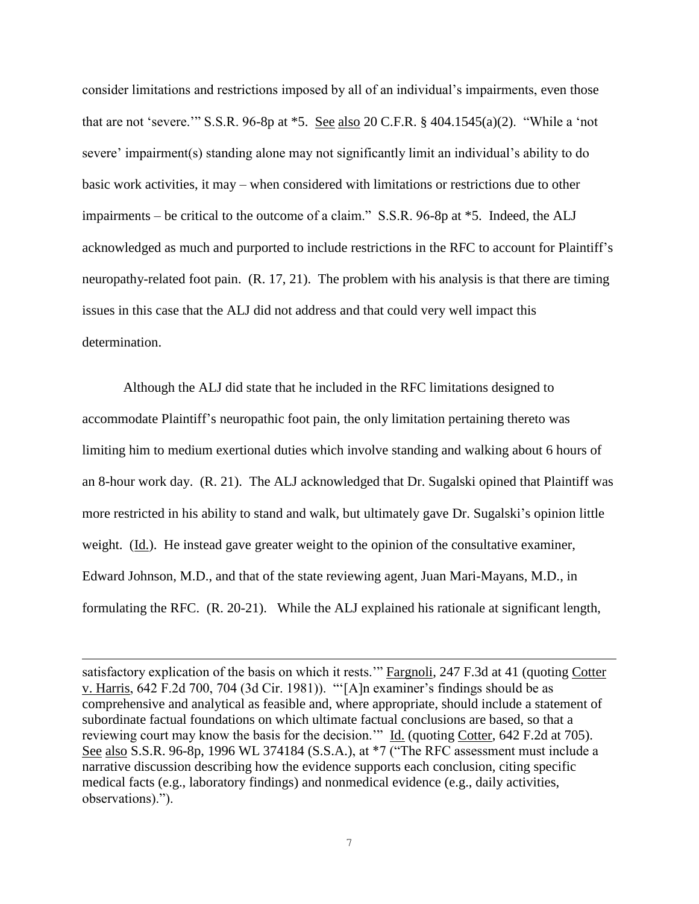consider limitations and restrictions imposed by all of an individual's impairments, even those that are not 'severe.'" S.S.R. 96-8p at \*5. See also 20 C.F.R. § 404.1545(a)(2). "While a 'not severe' impairment(s) standing alone may not significantly limit an individual's ability to do basic work activities, it may – when considered with limitations or restrictions due to other impairments – be critical to the outcome of a claim." S.S.R. 96-8p at \*5. Indeed, the ALJ acknowledged as much and purported to include restrictions in the RFC to account for Plaintiff's neuropathy-related foot pain. (R. 17, 21). The problem with his analysis is that there are timing issues in this case that the ALJ did not address and that could very well impact this determination.

 Although the ALJ did state that he included in the RFC limitations designed to accommodate Plaintiff's neuropathic foot pain, the only limitation pertaining thereto was limiting him to medium exertional duties which involve standing and walking about 6 hours of an 8-hour work day. (R. 21). The ALJ acknowledged that Dr. Sugalski opined that Plaintiff was more restricted in his ability to stand and walk, but ultimately gave Dr. Sugalski's opinion little weight. (Id.). He instead gave greater weight to the opinion of the consultative examiner, Edward Johnson, M.D., and that of the state reviewing agent, Juan Mari-Mayans, M.D., in formulating the RFC. (R. 20-21). While the ALJ explained his rationale at significant length,

 $\overline{a}$ 

satisfactory explication of the basis on which it rests.'" Fargnoli, 247 F.3d at 41 (quoting Cotter v. Harris, 642 F.2d 700, 704 (3d Cir. 1981)). "'[A]n examiner's findings should be as comprehensive and analytical as feasible and, where appropriate, should include a statement of subordinate factual foundations on which ultimate factual conclusions are based, so that a reviewing court may know the basis for the decision.'" Id. (quoting Cotter, 642 F.2d at 705). See also S.S.R. 96-8p, 1996 WL 374184 (S.S.A.), at \*7 ("The RFC assessment must include a narrative discussion describing how the evidence supports each conclusion, citing specific medical facts (e.g., laboratory findings) and nonmedical evidence (e.g., daily activities, observations).").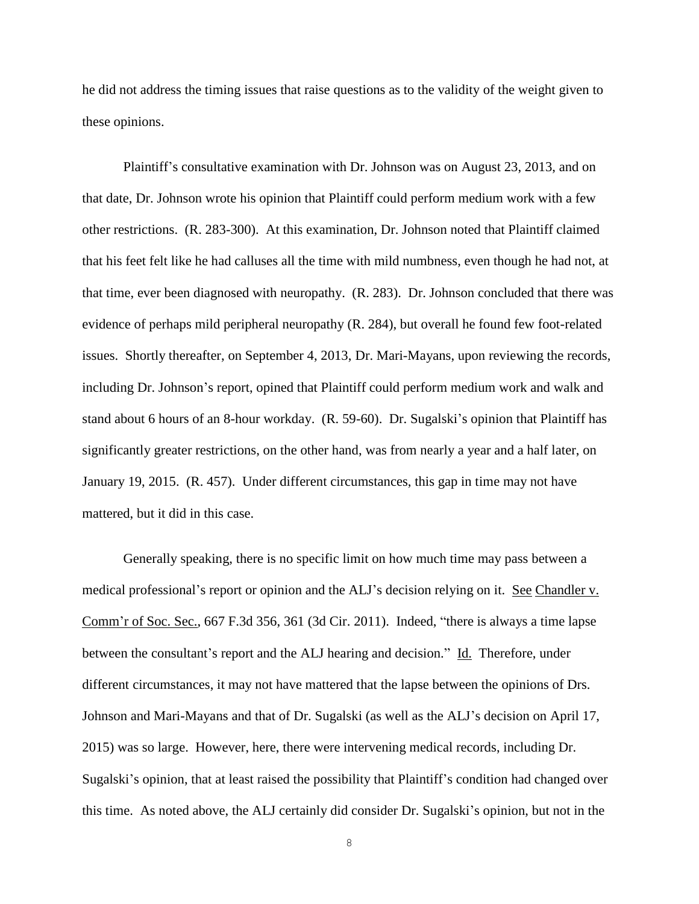he did not address the timing issues that raise questions as to the validity of the weight given to these opinions.

 Plaintiff's consultative examination with Dr. Johnson was on August 23, 2013, and on that date, Dr. Johnson wrote his opinion that Plaintiff could perform medium work with a few other restrictions. (R. 283-300). At this examination, Dr. Johnson noted that Plaintiff claimed that his feet felt like he had calluses all the time with mild numbness, even though he had not, at that time, ever been diagnosed with neuropathy. (R. 283). Dr. Johnson concluded that there was evidence of perhaps mild peripheral neuropathy (R. 284), but overall he found few foot-related issues. Shortly thereafter, on September 4, 2013, Dr. Mari-Mayans, upon reviewing the records, including Dr. Johnson's report, opined that Plaintiff could perform medium work and walk and stand about 6 hours of an 8-hour workday. (R. 59-60). Dr. Sugalski's opinion that Plaintiff has significantly greater restrictions, on the other hand, was from nearly a year and a half later, on January 19, 2015. (R. 457). Under different circumstances, this gap in time may not have mattered, but it did in this case.

 Generally speaking, there is no specific limit on how much time may pass between a medical professional's report or opinion and the ALJ's decision relying on it. See Chandler v. Comm'r of Soc. Sec., 667 F.3d 356, 361 (3d Cir. 2011). Indeed, "there is always a time lapse between the consultant's report and the ALJ hearing and decision." Id. Therefore, under different circumstances, it may not have mattered that the lapse between the opinions of Drs. Johnson and Mari-Mayans and that of Dr. Sugalski (as well as the ALJ's decision on April 17, 2015) was so large. However, here, there were intervening medical records, including Dr. Sugalski's opinion, that at least raised the possibility that Plaintiff's condition had changed over this time. As noted above, the ALJ certainly did consider Dr. Sugalski's opinion, but not in the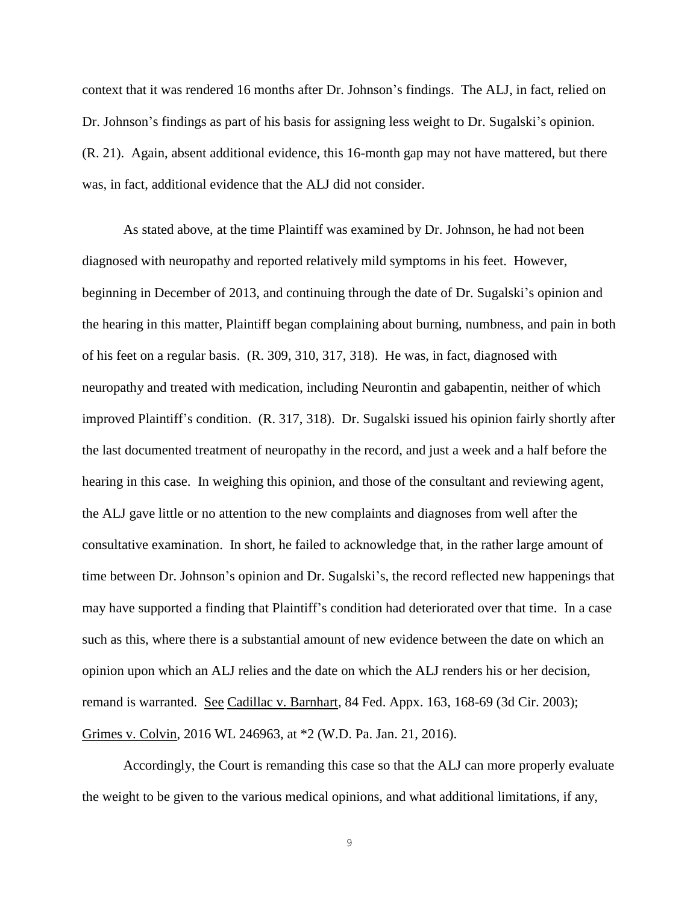context that it was rendered 16 months after Dr. Johnson's findings. The ALJ, in fact, relied on Dr. Johnson's findings as part of his basis for assigning less weight to Dr. Sugalski's opinion. (R. 21). Again, absent additional evidence, this 16-month gap may not have mattered, but there was, in fact, additional evidence that the ALJ did not consider.

 As stated above, at the time Plaintiff was examined by Dr. Johnson, he had not been diagnosed with neuropathy and reported relatively mild symptoms in his feet. However, beginning in December of 2013, and continuing through the date of Dr. Sugalski's opinion and the hearing in this matter, Plaintiff began complaining about burning, numbness, and pain in both of his feet on a regular basis. (R. 309, 310, 317, 318). He was, in fact, diagnosed with neuropathy and treated with medication, including Neurontin and gabapentin, neither of which improved Plaintiff's condition. (R. 317, 318). Dr. Sugalski issued his opinion fairly shortly after the last documented treatment of neuropathy in the record, and just a week and a half before the hearing in this case. In weighing this opinion, and those of the consultant and reviewing agent, the ALJ gave little or no attention to the new complaints and diagnoses from well after the consultative examination. In short, he failed to acknowledge that, in the rather large amount of time between Dr. Johnson's opinion and Dr. Sugalski's, the record reflected new happenings that may have supported a finding that Plaintiff's condition had deteriorated over that time. In a case such as this, where there is a substantial amount of new evidence between the date on which an opinion upon which an ALJ relies and the date on which the ALJ renders his or her decision, remand is warranted. See Cadillac v. Barnhart, 84 Fed. Appx. 163, 168-69 (3d Cir. 2003); Grimes v. Colvin, 2016 WL 246963, at \*2 (W.D. Pa. Jan. 21, 2016).

 Accordingly, the Court is remanding this case so that the ALJ can more properly evaluate the weight to be given to the various medical opinions, and what additional limitations, if any,